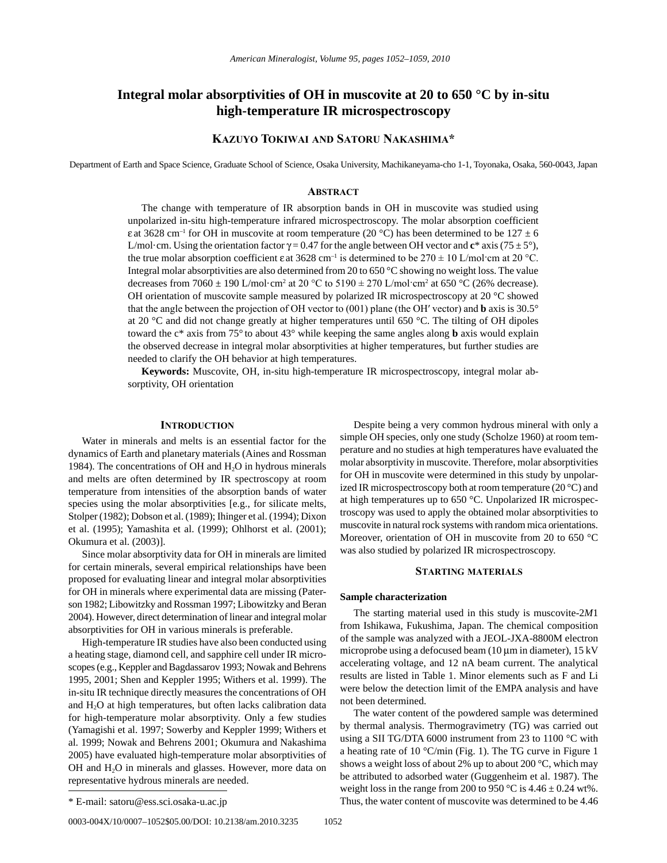# **Integral molar absorptivities of OH in muscovite at 20 to 650 °C by in-situ high-temperature IR microspectroscopy**

## **Kazuyo ToKiwai and SaToru naKaShima\***

Department of Earth and Space Science, Graduate School of Science, Osaka University, Machikaneyama-cho 1-1, Toyonaka, Osaka, 560-0043, Japan

## **abSTracT**

The change with temperature of IR absorption bands in OH in muscovite was studied using unpolarized in-situ high-temperature infrared microspectroscopy. The molar absorption coefficient ε at 3628 cm<sup>-1</sup> for OH in muscovite at room temperature (20 °C) has been determined to be 127  $\pm$  6 L/mol·cm. Using the orientation factor  $\gamma = 0.47$  for the angle between OH vector and  $\mathbf{c}^*$  axis (75 ± 5°), the true molar absorption coefficient  $\varepsilon$  at 3628 cm<sup>-1</sup> is determined to be 270  $\pm$  10 L/mol·cm at 20 °C. Integral molar absorptivities are also determined from 20 to 650 °C showing no weight loss. The value decreases from  $7060 \pm 190$  L/mol·cm<sup>2</sup> at  $20$  °C to  $5190 \pm 270$  L/mol·cm<sup>2</sup> at  $650$  °C (26% decrease). OH orientation of muscovite sample measured by polarized IR microspectroscopy at 20  $^{\circ}$ C showed that the angle between the projection of OH vector to (001) plane (the OH′ vector) and **b** axis is 30.5° at 20 °C and did not change greatly at higher temperatures until 650 °C. The tilting of OH dipoles toward the c\* axis from 75° to about 43° while keeping the same angles along **b** axis would explain the observed decrease in integral molar absorptivities at higher temperatures, but further studies are needed to clarify the OH behavior at high temperatures.

**Keywords:** Muscovite, OH, in-situ high-temperature IR microspectroscopy, integral molar absorptivity, OH orientation

## **INTRODUCTION**

Water in minerals and melts is an essential factor for the dynamics of Earth and planetary materials (Aines and Rossman 1984). The concentrations of OH and  $H_2O$  in hydrous minerals and melts are often determined by IR spectroscopy at room temperature from intensities of the absorption bands of water species using the molar absorptivities [e.g., for silicate melts, Stolper (1982); Dobson et al. (1989); Ihinger et al. (1994); Dixon et al. (1995); Yamashita et al. (1999); Ohlhorst et al. (2001); Okumura et al. (2003)].

Since molar absorptivity data for OH in minerals are limited for certain minerals, several empirical relationships have been proposed for evaluating linear and integral molar absorptivities for OH in minerals where experimental data are missing (Paterson 1982; Libowitzky and Rossman 1997; Libowitzky and Beran 2004). However, direct determination of linear and integral molar absorptivities for OH in various minerals is preferable.

High-temperature IR studies have also been conducted using a heating stage, diamond cell, and sapphire cell under IR microscopes (e.g., Keppler and Bagdassarov 1993; Nowak and Behrens 1995, 2001; Shen and Keppler 1995; Withers et al. 1999). The in-situ IR technique directly measures the concentrations of OH and  $H_2O$  at high temperatures, but often lacks calibration data for high-temperature molar absorptivity. Only a few studies (Yamagishi et al. 1997; Sowerby and Keppler 1999; Withers et al. 1999; Nowak and Behrens 2001; Okumura and Nakashima 2005) have evaluated high-temperature molar absorptivities of OH and  $H_2O$  in minerals and glasses. However, more data on representative hydrous minerals are needed.

## **STarTing maTerialS**

## **Sample characterization**

The starting material used in this study is muscovite-2*M*1 from Ishikawa, Fukushima, Japan. The chemical composition of the sample was analyzed with a JEOL-JXA-8800M electron microprobe using a defocused beam (10  $\mu$ m in diameter), 15 kV accelerating voltage, and 12 nA beam current. The analytical results are listed in Table 1. Minor elements such as F and Li were below the detection limit of the EMPA analysis and have not been determined.

The water content of the powdered sample was determined by thermal analysis. Thermogravimetry (TG) was carried out using a SII TG/DTA 6000 instrument from 23 to 1100 °C with a heating rate of 10 °C/min (Fig. 1). The TG curve in Figure 1 shows a weight loss of about 2% up to about 200 °C, which may be attributed to adsorbed water (Guggenheim et al. 1987). The weight loss in the range from 200 to 950 °C is  $4.46 \pm 0.24$  wt%. \* E-mail: satoru@ess.sci.osaka-u.ac.jp Thus, the water content of muscovite was determined to be 4.46

Despite being a very common hydrous mineral with only a simple OH species, only one study (Scholze 1960) at room temperature and no studies at high temperatures have evaluated the molar absorptivity in muscovite. Therefore, molar absorptivities for OH in muscovite were determined in this study by unpolarized IR microspectroscopy both at room temperature (20 °C) and at high temperatures up to 650 °C. Unpolarized IR microspectroscopy was used to apply the obtained molar absorptivities to muscovite in natural rock systems with random mica orientations. Moreover, orientation of OH in muscovite from 20 to 650 °C was also studied by polarized IR microspectroscopy.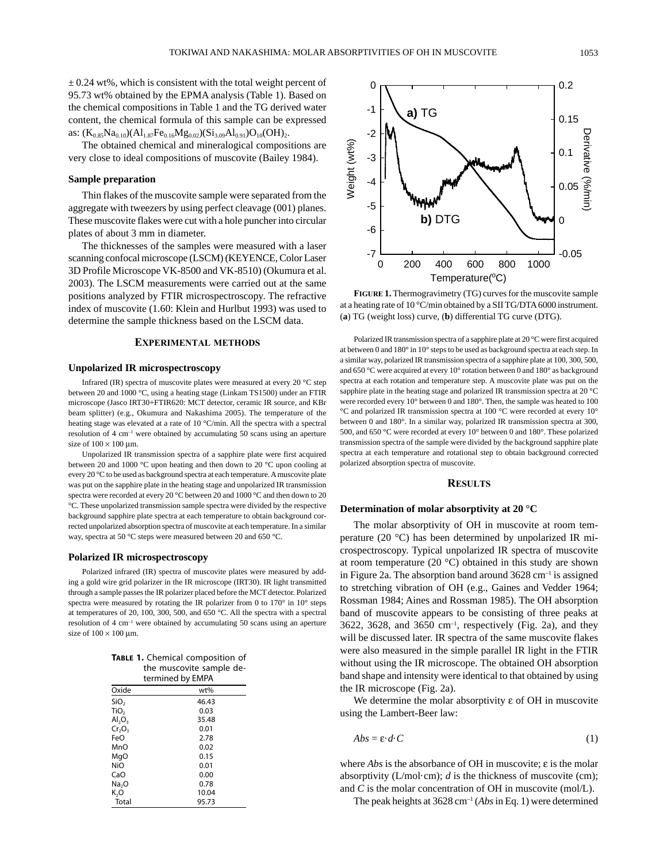$\pm$  0.24 wt%, which is consistent with the total weight percent of 95.73 wt% obtained by the EPMA analysis (Table 1). Based on the chemical compositions in Table 1 and the TG derived water content, the chemical formula of this sample can be expressed as:  $(K_{0.85}Na_{0.10})(Al_{1.87}Fe_{0.16}Mg_{0.02})(Si_{3.09}Al_{0.91})O_{10}(OH)_{2}.$ 

The obtained chemical and mineralogical compositions are very close to ideal compositions of muscovite (Bailey 1984).

## **Sample preparation**

Thin flakes of the muscovite sample were separated from the aggregate with tweezers by using perfect cleavage (001) planes. These muscovite flakes were cut with a hole puncher into circular plates of about 3 mm in diameter.

The thicknesses of the samples were measured with a laser scanning confocal microscope (LSCM) (KEYENCE, Color Laser 3D Profile Microscope VK-8500 and VK-8510) (Okumura et al. 2003). The LSCM measurements were carried out at the same positions analyzed by FTIR microspectroscopy. The refractive index of muscovite (1.60: Klein and Hurlbut 1993) was used to determine the sample thickness based on the LSCM data.

## **experimenTal meThodS**

#### **Unpolarized IR microspectroscopy**

Infrared (IR) spectra of muscovite plates were measured at every 20 °C step between 20 and 1000 °C, using a heating stage (Linkam TS1500) under an FTIR microscope (Jasco IRT30+FTIR620: MCT detector, ceramic IR source, and KBr beam splitter) (e.g., Okumura and Nakashima 2005). The temperature of the heating stage was elevated at a rate of 10 °C/min. All the spectra with a spectral resolution of 4 cm<sup>-1</sup> were obtained by accumulating 50 scans using an aperture size of  $100 \times 100$  µm.

Unpolarized IR transmission spectra of a sapphire plate were first acquired between 20 and 1000 °C upon heating and then down to 20 °C upon cooling at every 20 °C to be used as background spectra at each temperature. A muscovite plate was put on the sapphire plate in the heating stage and unpolarized IR transmission spectra were recorded at every 20 °C between 20 and 1000 °C and then down to 20 °C. These unpolarized transmission sample spectra were divided by the respective background sapphire plate spectra at each temperature to obtain background corrected unpolarized absorption spectra of muscovite at each temperature. In a similar way, spectra at 50 °C steps were measured between 20 and 650 °C.

#### **Polarized IR microspectroscopy**

Polarized infrared (IR) spectra of muscovite plates were measured by adding a gold wire grid polarizer in the IR microscope (IRT30). IR light transmitted through a sample passes the IR polarizer placed before the MCT detector. Polarized spectra were measured by rotating the IR polarizer from 0 to 170° in 10° steps at temperatures of 20, 100, 300, 500, and 650 °C. All the spectra with a spectral resolution of 4 cm<sup>-1</sup> were obtained by accumulating 50 scans using an aperture size of  $100 \times 100$  µm.

|                  | <b>TABLE 1.</b> Chemical composition of |  |
|------------------|-----------------------------------------|--|
|                  | the muscovite sample de-                |  |
| torminad by EMDA |                                         |  |

| termined by EMPA               |       |  |  |
|--------------------------------|-------|--|--|
| Oxide                          | wt%   |  |  |
| SiO <sub>2</sub>               | 46.43 |  |  |
| TiO <sub>2</sub>               | 0.03  |  |  |
| AI <sub>2</sub> O <sub>3</sub> | 35.48 |  |  |
| $Cr_2O_3$                      | 0.01  |  |  |
| FeO                            | 2.78  |  |  |
| MnO                            | 0.02  |  |  |
| MgO                            | 0.15  |  |  |
| NiO                            | 0.01  |  |  |
| CaO                            | 0.00  |  |  |
| Na <sub>2</sub> O              | 0.78  |  |  |
| K,O                            | 10.04 |  |  |
| Total                          | 95.73 |  |  |



**Figure 1.** Thermogravimetry (TG) curves for the muscovite sample at a heating rate of 10 °C/min obtained by a SII TG/DTA 6000 instrument. (**a**) TG (weight loss) curve, (**b**) differential TG curve (DTG).

Polarized IR transmission spectra of a sapphire plate at 20 °C were first acquired at between 0 and 180° in 10° steps to be used as background spectra at each step. In a similar way, polarized IR transmission spectra of a sapphire plate at 100, 300, 500, and 650 °C were acquired at every 10° rotation between 0 and 180° as background spectra at each rotation and temperature step. A muscovite plate was put on the sapphire plate in the heating stage and polarized IR transmission spectra at 20 °C were recorded every 10° between 0 and 180°. Then, the sample was heated to 100 °C and polarized IR transmission spectra at 100 °C were recorded at every 10° between 0 and 180°. In a similar way, polarized IR transmission spectra at 300, 500, and 650 °C were recorded at every 10° between 0 and 180°. These polarized transmission spectra of the sample were divided by the background sapphire plate spectra at each temperature and rotational step to obtain background corrected polarized absorption spectra of muscovite.

## **reSulTS**

## **Determination of molar absorptivity at 20 °C**

The molar absorptivity of OH in muscovite at room temperature (20 °C) has been determined by unpolarized IR microspectroscopy. Typical unpolarized IR spectra of muscovite at room temperature (20 °C) obtained in this study are shown in Figure 2a. The absorption band around  $3628 \text{ cm}^{-1}$  is assigned to stretching vibration of OH (e.g., Gaines and Vedder 1964; Rossman 1984; Aines and Rossman 1985). The OH absorption band of muscovite appears to be consisting of three peaks at  $3622$ ,  $3628$ , and  $3650$  cm<sup>-1</sup>, respectively (Fig. 2a), and they will be discussed later. IR spectra of the same muscovite flakes were also measured in the simple parallel IR light in the FTIR without using the IR microscope. The obtained OH absorption band shape and intensity were identical to that obtained by using the IR microscope (Fig. 2a).

We determine the molar absorptivity  $\varepsilon$  of OH in muscovite using the Lambert-Beer law:

$$
Abs = \varepsilon \cdot d \cdot C \tag{1}
$$

where *Abs* is the absorbance of OH in muscovite; ε is the molar absorptivity (L/mol·cm); *d* is the thickness of muscovite (cm); and *C* is the molar concentration of OH in muscovite (mol/L).

The peak heights at 3628 cm–1 (*Abs* in Eq. 1) were determined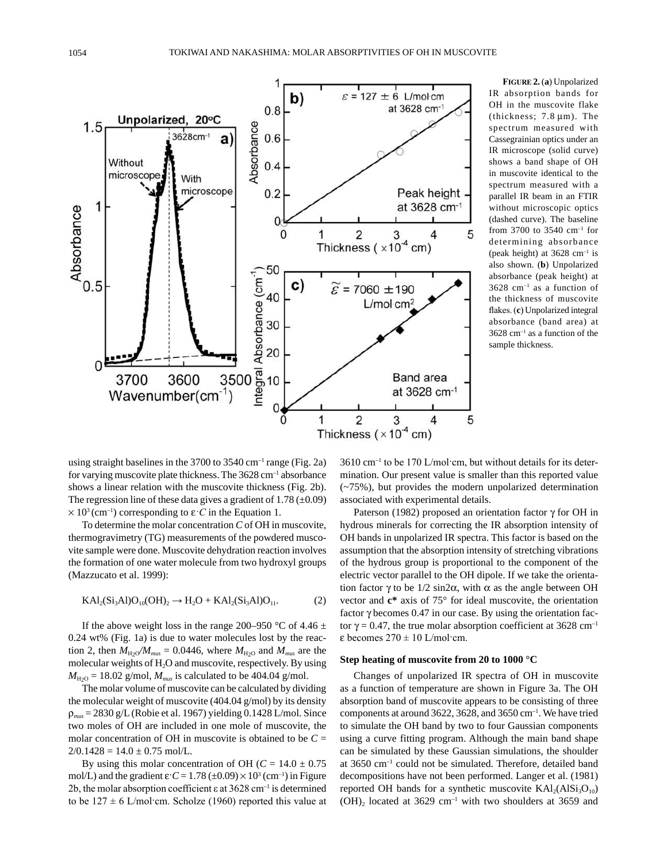

**Figure 2.** (**a**) Unpolarized IR absorption bands for OH in the muscovite flake (thickness; 7.8 µm). The spectrum measured with Cassegrainian optics under an IR microscope (solid curve) shows a band shape of OH in muscovite identical to the spectrum measured with a parallel IR beam in an FTIR without microscopic optics (dashed curve). The baseline from 3700 to 3540 cm–1 for determining absorbance (peak height) at  $3628$  cm<sup>-1</sup> is also shown. (**b**) Unpolarized absorbance (peak height) at 3628 cm–1 as a function of the thickness of muscovite flakes. (**c**) Unpolarized integral absorbance (band area) at  $3628$  cm<sup>-1</sup> as a function of the sample thickness.

using straight baselines in the  $3700$  to  $3540$  cm<sup>-1</sup> range (Fig. 2a) for varying muscovite plate thickness. The 3628 cm–1 absorbance shows a linear relation with the muscovite thickness (Fig. 2b). The regression line of these data gives a gradient of  $1.78 \ (\pm 0.09)$  $\times$  10<sup>3</sup> (cm<sup>-1</sup>) corresponding to  $\varepsilon$  *C* in the Equation 1.

To determine the molar concentration *C* of OH in muscovite, thermogravimetry (TG) measurements of the powdered muscovite sample were done. Muscovite dehydration reaction involves the formation of one water molecule from two hydroxyl groups (Mazzucato et al. 1999):

$$
KAl_2(Si_3Al)O_{10}(OH)_2 \to H_2O + KAl_2(Si_3Al)O_{11}.
$$
 (2)

If the above weight loss in the range 200–950 °C of 4.46  $\pm$ 0.24 wt% (Fig. 1a) is due to water molecules lost by the reaction 2, then  $M_{\text{H}_2O}/M_{\text{mus}} = 0.0446$ , where  $M_{\text{H}_2O}$  and  $M_{\text{mus}}$  are the molecular weights of H<sub>2</sub>O and muscovite, respectively. By using  $M_{\text{H}_2\text{O}} = 18.02$  g/mol,  $M_{\text{mus}}$  is calculated to be 404.04 g/mol.

The molar volume of muscovite can be calculated by dividing the molecular weight of muscovite (404.04 g/mol) by its density ρ*mus* = 2830 g/L (Robie et al. 1967) yielding 0.1428 L/mol. Since two moles of OH are included in one mole of muscovite, the molar concentration of OH in muscovite is obtained to be  $C =$  $2/0.1428 = 14.0 \pm 0.75$  mol/L.

By using this molar concentration of OH ( $C = 14.0 \pm 0.75$ ) mol/L) and the gradient  $\varepsilon$   $C = 1.78 \ (\pm 0.09) \times 10^3 \ (\text{cm}^{-1})$  in Figure 2b, the molar absorption coefficient  $\varepsilon$  at 3628 cm<sup>-1</sup> is determined to be  $127 \pm 6$  L/mol·cm. Scholze (1960) reported this value at

 $3610 \text{ cm}^{-1}$  to be 170 L/mol·cm, but without details for its determination. Our present value is smaller than this reported value (~75%), but provides the modern unpolarized determination associated with experimental details.

Paterson (1982) proposed an orientation factor γ for OH in hydrous minerals for correcting the IR absorption intensity of OH bands in unpolarized IR spectra. This factor is based on the assumption that the absorption intensity of stretching vibrations of the hydrous group is proportional to the component of the electric vector parallel to the OH dipole. If we take the orientation factor γ to be  $1/2 \sin 2\alpha$ , with α as the angle between OH vector and **c\*** axis of 75° for ideal muscovite, the orientation factor γ becomes 0.47 in our case. By using the orientation factor γ = 0.47, the true molar absorption coefficient at 3628 cm<sup>-1</sup> ε becomes 270 ± 10 L/mol·cm.

## **Step heating of muscovite from 20 to 1000 °C**

Changes of unpolarized IR spectra of OH in muscovite as a function of temperature are shown in Figure 3a. The OH absorption band of muscovite appears to be consisting of three components at around 3622, 3628, and 3650 cm–1. We have tried to simulate the OH band by two to four Gaussian components using a curve fitting program. Although the main band shape can be simulated by these Gaussian simulations, the shoulder at 3650 cm–1 could not be simulated. Therefore, detailed band decompositions have not been performed. Langer et al. (1981) reported OH bands for a synthetic muscovite  $KAI<sub>2</sub>(AISi<sub>3</sub>O<sub>10</sub>)$  $(OH)_2$  located at 3629 cm<sup>-1</sup> with two shoulders at 3659 and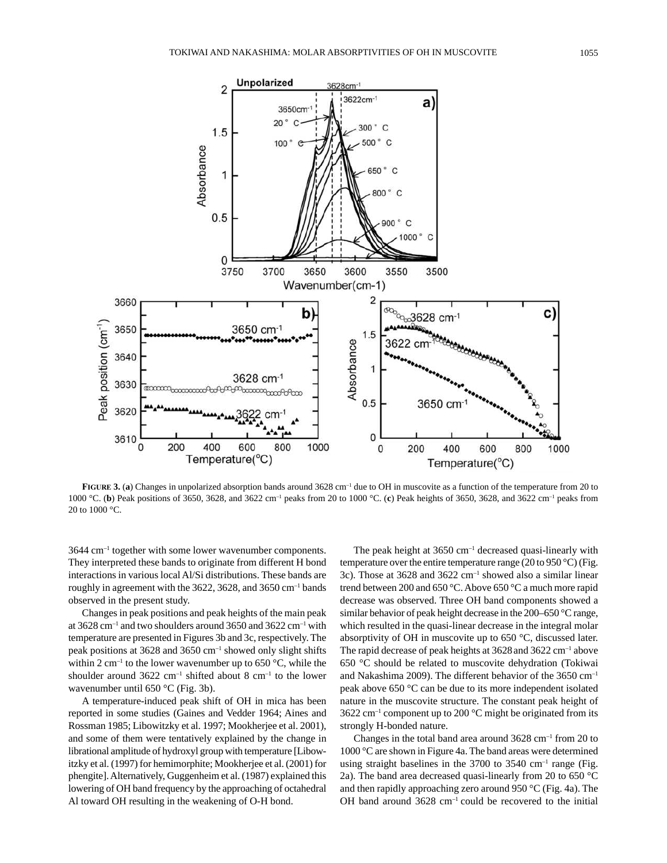

**Figure 3.** (**a**) Changes in unpolarized absorption bands around 3628 cm–1 due to OH in muscovite as a function of the temperature from 20 to 1000 °C. (**b**) Peak positions of 3650, 3628, and 3622 cm–1 peaks from 20 to 1000 °C. (**c**) Peak heights of 3650, 3628, and 3622 cm–1 peaks from 20 to 1000 °C.

3644 cm–1 together with some lower wavenumber components. They interpreted these bands to originate from different H bond interactions in various local Al/Si distributions. These bands are roughly in agreement with the 3622, 3628, and 3650  $cm^{-1}$  bands observed in the present study.

Changes in peak positions and peak heights of the main peak at 3628 cm–1 and two shoulders around 3650 and 3622 cm–1 with temperature are presented in Figures 3b and 3c, respectively. The peak positions at  $3628$  and  $3650$  cm<sup>-1</sup> showed only slight shifts within 2 cm<sup>-1</sup> to the lower wavenumber up to 650 °C, while the shoulder around  $3622 \text{ cm}^{-1}$  shifted about 8 cm<sup>-1</sup> to the lower wavenumber until 650 °C (Fig. 3b).

A temperature-induced peak shift of OH in mica has been reported in some studies (Gaines and Vedder 1964; Aines and Rossman 1985; Libowitzky et al. 1997; Mookherjee et al. 2001), and some of them were tentatively explained by the change in librational amplitude of hydroxyl group with temperature [Libowitzky et al. (1997) for hemimorphite; Mookherjee et al. (2001) for phengite]. Alternatively, Guggenheim et al. (1987) explained this lowering of OH band frequency by the approaching of octahedral Al toward OH resulting in the weakening of O-H bond.

The peak height at  $3650 \text{ cm}^{-1}$  decreased quasi-linearly with temperature over the entire temperature range (20 to 950 °C) (Fig. 3c). Those at 3628 and 3622 cm–1 showed also a similar linear trend between 200 and 650 °C. Above 650 °C a much more rapid decrease was observed. Three OH band components showed a similar behavior of peak height decrease in the 200–650 °C range, which resulted in the quasi-linear decrease in the integral molar absorptivity of OH in muscovite up to 650 °C, discussed later. The rapid decrease of peak heights at  $3628$  and  $3622$  cm<sup>-1</sup> above 650 °C should be related to muscovite dehydration (Tokiwai and Nakashima 2009). The different behavior of the 3650 cm–1 peak above 650 °C can be due to its more independent isolated nature in the muscovite structure. The constant peak height of  $3622$  cm<sup>-1</sup> component up to 200 °C might be originated from its strongly H-bonded nature.

Changes in the total band area around  $3628 \text{ cm}^{-1}$  from 20 to 1000 °C are shown in Figure 4a. The band areas were determined using straight baselines in the  $3700$  to  $3540$  cm<sup>-1</sup> range (Fig. 2a). The band area decreased quasi-linearly from 20 to 650 °C and then rapidly approaching zero around 950 °C (Fig. 4a). The OH band around 3628 cm–1 could be recovered to the initial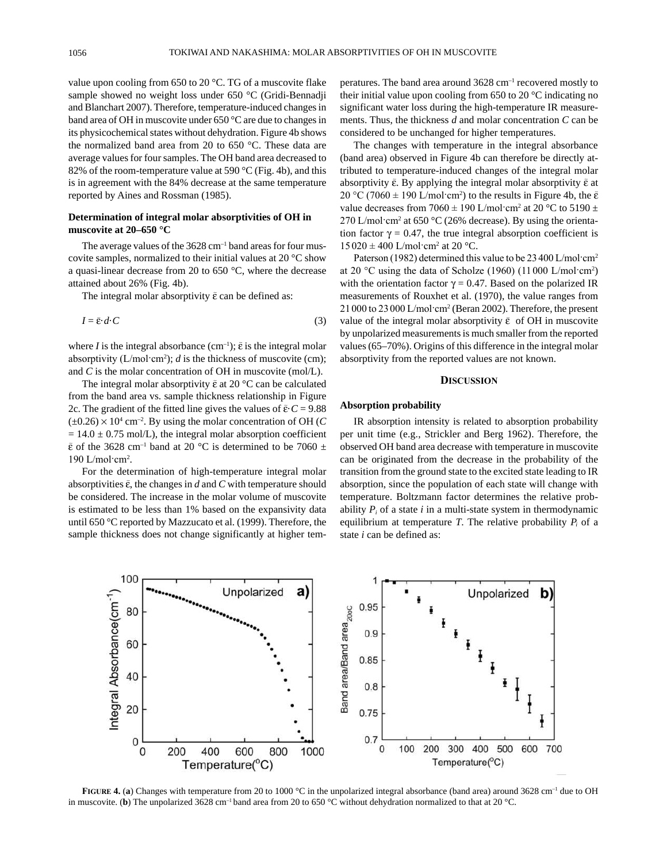value upon cooling from 650 to 20 °C. TG of a muscovite flake sample showed no weight loss under 650 °C (Gridi-Bennadji and Blanchart 2007). Therefore, temperature-induced changes in band area of OH in muscovite under 650 °C are due to changes in its physicochemical states without dehydration. Figure 4b shows the normalized band area from 20 to 650 °C. These data are average values for four samples. The OH band area decreased to 82% of the room-temperature value at 590 °C (Fig. 4b), and this is in agreement with the 84% decrease at the same temperature reported by Aines and Rossman (1985).

## **Determination of integral molar absorptivities of OH in muscovite at 20–650 °C**

The average values of the  $3628 \text{ cm}^{-1}$  band areas for four muscovite samples, normalized to their initial values at 20 °C show a quasi-linear decrease from 20 to 650 °C, where the decrease attained about 26% (Fig. 4b).

The integral molar absorptivity  $\tilde{\epsilon}$  can be defined as:

$$
I = \tilde{\varepsilon} \cdot d \cdot C \tag{3}
$$

where *I* is the integral absorbance  $(cm^{-1})$ ;  $\tilde{\varepsilon}$  is the integral molar absorptivity  $(L/mol·cm<sup>2</sup>)$ ; *d* is the thickness of muscovite (cm); and *C* is the molar concentration of OH in muscovite (mol/L).

The integral molar absorptivity  $\tilde{\epsilon}$  at 20 °C can be calculated from the band area vs. sample thickness relationship in Figure 2c. The gradient of the fitted line gives the values of  $\tilde{\epsilon}$ ·  $C = 9.88$  $(\pm 0.26) \times 10^4$  cm<sup>-2</sup>. By using the molar concentration of OH (*C*  $= 14.0 \pm 0.75$  mol/L), the integral molar absorption coefficient  $\tilde{\epsilon}$  of the 3628 cm<sup>-1</sup> band at 20 °C is determined to be 7060 ±  $190$  L/mol·cm<sup>2</sup>.

For the determination of high-temperature integral molar absorptivities  $\tilde{\epsilon}$ , the changes in  $d$  and  $C$  with temperature should be considered. The increase in the molar volume of muscovite is estimated to be less than 1% based on the expansivity data until 650 °C reported by Mazzucato et al. (1999). Therefore, the sample thickness does not change significantly at higher temperatures. The band area around 3628 cm–1 recovered mostly to their initial value upon cooling from 650 to 20 °C indicating no significant water loss during the high-temperature IR measurements. Thus, the thickness *d* and molar concentration *C* can be considered to be unchanged for higher temperatures.

The changes with temperature in the integral absorbance (band area) observed in Figure 4b can therefore be directly attributed to temperature-induced changes of the integral molar absorptivity  $\tilde{\epsilon}$ . By applying the integral molar absorptivity  $\tilde{\epsilon}$  at 20 °C (7060  $\pm$  190 L/mol·cm<sup>2</sup>) to the results in Figure 4b, the  $\tilde{\epsilon}$ value decreases from 7060  $\pm$  190 L/mol·cm<sup>2</sup> at 20 °C to 5190  $\pm$ 270 L/mol·cm<sup>2</sup> at 650 °C (26% decrease). By using the orientation factor  $\gamma = 0.47$ , the true integral absorption coefficient is  $15020 \pm 400$  L/mol·cm<sup>2</sup> at 20 °C.

Paterson (1982) determined this value to be 23 400 L/mol·cm<sup>2</sup> at 20 °C using the data of Scholze (1960) (11 000 L/mol·cm<sup>2</sup> ) with the orientation factor  $\gamma = 0.47$ . Based on the polarized IR measurements of Rouxhet et al. (1970), the value ranges from 21 000 to 23 000 L/mol·cm<sup>2</sup> (Beran 2002). Therefore, the present value of the integral molar absorptivity  $\tilde{\epsilon}$  of OH in muscovite by unpolarized measurements is much smaller from the reported values (65–70%). Origins of this difference in the integral molar absorptivity from the reported values are not known.

## **DISCUSSION**

### **Absorption probability**

IR absorption intensity is related to absorption probability per unit time (e.g., Strickler and Berg 1962). Therefore, the observed OH band area decrease with temperature in muscovite can be originated from the decrease in the probability of the transition from the ground state to the excited state leading to IR absorption, since the population of each state will change with temperature. Boltzmann factor determines the relative probability  $P_i$  of a state  $i$  in a multi-state system in thermodynamic equilibrium at temperature *T*. The relative probability  $P_i$  of a state *i* can be defined as:



**FIGURE 4. (a)** Changes with temperature from 20 to 1000 °C in the unpolarized integral absorbance (band area) around 3628 cm<sup>-1</sup> due to OH in muscovite. (**b**) The unpolarized 3628 cm–1 band area from 20 to 650 °C without dehydration normalized to that at 20 °C.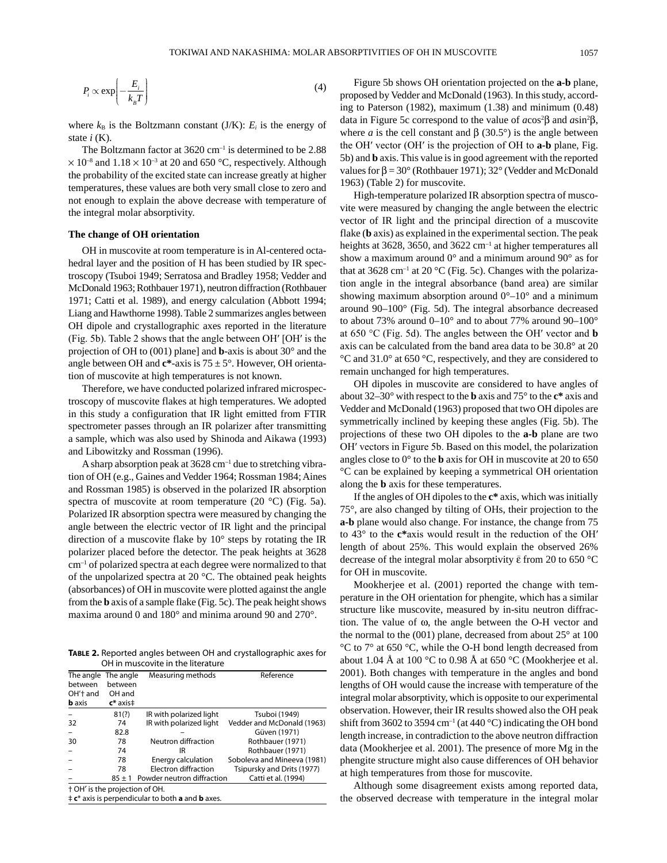$$
P_i \propto \exp\left(-\frac{E_i}{k_B T}\right) \tag{4}
$$

where  $k_B$  is the Boltzmann constant (J/K):  $E_i$  is the energy of state  $i(K)$ .

The Boltzmann factor at  $3620 \text{ cm}^{-1}$  is determined to be 2.88  $\times$  10<sup>-8</sup> and 1.18  $\times$  10<sup>-3</sup> at 20 and 650 °C, respectively. Although the probability of the excited state can increase greatly at higher temperatures, these values are both very small close to zero and not enough to explain the above decrease with temperature of the integral molar absorptivity.

#### **The change of OH orientation**

OH in muscovite at room temperature is in Al-centered octahedral layer and the position of H has been studied by IR spectroscopy (Tsuboi 1949; Serratosa and Bradley 1958; Vedder and McDonald 1963; Rothbauer 1971), neutron diffraction (Rothbauer 1971; Catti et al. 1989), and energy calculation (Abbott 1994; Liang and Hawthorne 1998). Table 2 summarizes angles between OH dipole and crystallographic axes reported in the literature (Fig. 5b). Table 2 shows that the angle between OH′ [OH′ is the projection of OH to (001) plane] and **b**-axis is about 30° and the angle between OH and  $c^*$ -axis is  $75 \pm 5^\circ$ . However, OH orientation of muscovite at high temperatures is not known.

Therefore, we have conducted polarized infrared microspectroscopy of muscovite flakes at high temperatures. We adopted in this study a configuration that IR light emitted from FTIR spectrometer passes through an IR polarizer after transmitting a sample, which was also used by Shinoda and Aikawa (1993) and Libowitzky and Rossman (1996).

A sharp absorption peak at 3628 cm–1 due to stretching vibration of OH (e.g., Gaines and Vedder 1964; Rossman 1984; Aines and Rossman 1985) is observed in the polarized IR absorption spectra of muscovite at room temperature (20 °C) (Fig. 5a). Polarized IR absorption spectra were measured by changing the angle between the electric vector of IR light and the principal direction of a muscovite flake by 10° steps by rotating the IR polarizer placed before the detector. The peak heights at 3628  $cm<sup>-1</sup>$  of polarized spectra at each degree were normalized to that of the unpolarized spectra at 20 °C. The obtained peak heights (absorbances) of OH in muscovite were plotted against the angle from the **b** axis of a sample flake (Fig. 5c). The peak height shows maxima around 0 and 180° and minima around 90 and 270°.

**Table 2.** Reported angles between OH and crystallographic axes for OH in muscovite in the literature

| The angle                      | The angle            | Measuring methods          | Reference                   |  |
|--------------------------------|----------------------|----------------------------|-----------------------------|--|
| between                        | between              |                            |                             |  |
| OH't and                       | OH and               |                            |                             |  |
| <b>b</b> axis                  | $\mathsf{c}^*$ axis‡ |                            |                             |  |
|                                | 81(?)                | IR with polarized light    | Tsuboi (1949)               |  |
| 32                             | 74                   | IR with polarized light    | Vedder and McDonald (1963)  |  |
|                                | 82.8                 |                            | Güven (1971)                |  |
| 30                             | 78                   | Neutron diffraction        | Rothbauer (1971)            |  |
|                                | 74                   | IR                         | Rothbauer (1971)            |  |
|                                | 78                   | Energy calculation         | Soboleva and Mineeva (1981) |  |
|                                | 78                   | Electron diffraction       | Tsipursky and Drits (1977)  |  |
|                                | $85 + 1$             | Powder neutron diffraction | Catti et al. (1994)         |  |
| † OH' is the projection of OH. |                      |                            |                             |  |

‡ **c**\* axis is perpendicular to both **a** and **b** axes.

Figure 5b shows OH orientation projected on the **a-b** plane, proposed by Vedder and McDonald (1963). In this study, according to Paterson (1982), maximum (1.38) and minimum (0.48) data in Figure 5c correspond to the value of *a*cos<sup>2</sup>β and *a*sin<sup>2</sup>β, where *a* is the cell constant and  $\beta$  (30.5°) is the angle between the OH′ vector (OH′ is the projection of OH to **a-b** plane, Fig. 5b) and **b** axis. This value is in good agreement with the reported values for  $β = 30°$  (Rothbauer 1971); 32° (Vedder and McDonald 1963) (Table 2) for muscovite.

High-temperature polarized IR absorption spectra of muscovite were measured by changing the angle between the electric vector of IR light and the principal direction of a muscovite flake (**b** axis) as explained in the experimental section. The peak heights at 3628, 3650, and 3622 cm<sup>-1</sup> at higher temperatures all show a maximum around 0° and a minimum around 90° as for that at 3628 cm<sup>-1</sup> at 20 °C (Fig. 5c). Changes with the polarization angle in the integral absorbance (band area) are similar showing maximum absorption around  $0^{\circ}$ –10° and a minimum around 90–100° (Fig. 5d). The integral absorbance decreased to about 73% around 0–10° and to about 77% around 90–100° at 650 °C (Fig. 5d). The angles between the OH′ vector and **b** axis can be calculated from the band area data to be 30.8° at 20 °C and 31.0° at 650 °C, respectively, and they are considered to remain unchanged for high temperatures.

OH dipoles in muscovite are considered to have angles of about 32–30° with respect to the **b** axis and 75° to the **c\*** axis and Vedder and McDonald (1963) proposed that two OH dipoles are symmetrically inclined by keeping these angles (Fig. 5b). The projections of these two OH dipoles to the **a-b** plane are two OH′ vectors in Figure 5b. Based on this model, the polarization angles close to 0° to the **b** axis for OH in muscovite at 20 to 650 °C can be explained by keeping a symmetrical OH orientation along the **b** axis for these temperatures.

If the angles of OH dipoles to the **c\*** axis, which was initially 75°, are also changed by tilting of OHs, their projection to the **a-b** plane would also change. For instance, the change from 75 to 43° to the **c\***axis would result in the reduction of the OH′ length of about 25%. This would explain the observed 26% decrease of the integral molar absorptivity  $\tilde{\epsilon}$  from 20 to 650 °C for OH in muscovite.

Mookherjee et al. (2001) reported the change with temperature in the OH orientation for phengite, which has a similar structure like muscovite, measured by in-situ neutron diffraction. The value of ω, the angle between the O-H vector and the normal to the (001) plane, decreased from about 25° at 100 °C to 7° at 650 °C, while the O-H bond length decreased from about 1.04 Å at 100 °C to 0.98 Å at 650 °C (Mookherjee et al. 2001). Both changes with temperature in the angles and bond lengths of OH would cause the increase with temperature of the integral molar absorptivity, which is opposite to our experimental observation. However, their IR results showed also the OH peak shift from 3602 to 3594 cm<sup>-1</sup> (at 440 °C) indicating the OH bond length increase, in contradiction to the above neutron diffraction data (Mookherjee et al. 2001). The presence of more Mg in the phengite structure might also cause differences of OH behavior at high temperatures from those for muscovite.

Although some disagreement exists among reported data, the observed decrease with temperature in the integral molar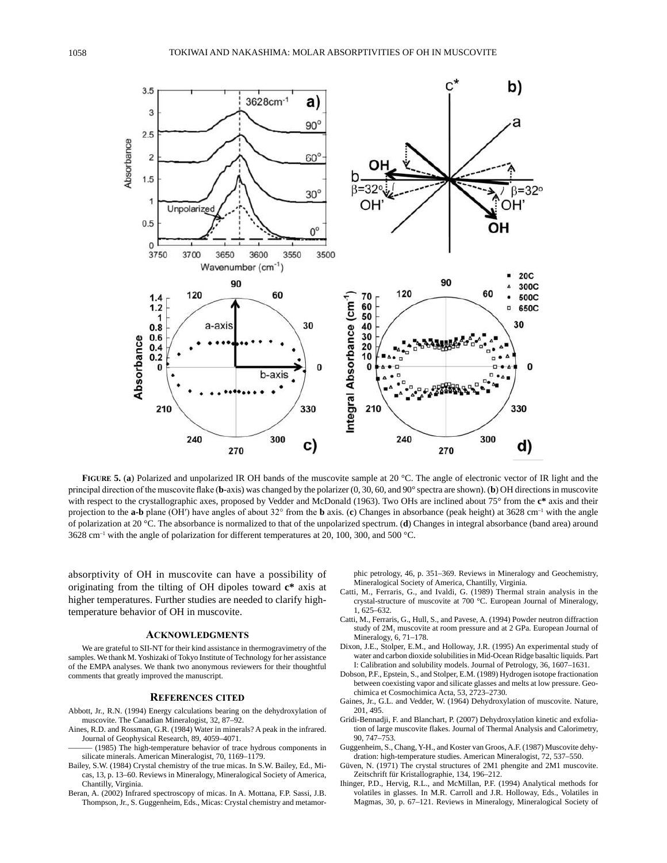

**FIGURE 5. (a)** Polarized and unpolarized IR OH bands of the muscovite sample at 20 °C. The angle of electronic vector of IR light and the principal direction of the muscovite flake (**b**-axis) was changed by the polarizer (0, 30, 60, and 90° spectra are shown). (**b**) OH directions in muscovite with respect to the crystallographic axes, proposed by Vedder and McDonald (1963). Two OHs are inclined about 75° from the **c\*** axis and their projection to the **a-b** plane (OH′) have angles of about 32° from the **b** axis. (**c**) Changes in absorbance (peak height) at 3628 cm–1 with the angle of polarization at 20 °C. The absorbance is normalized to that of the unpolarized spectrum. (**d**) Changes in integral absorbance (band area) around 3628 cm–1 with the angle of polarization for different temperatures at 20, 100, 300, and 500 °C.

absorptivity of OH in muscovite can have a possibility of originating from the tilting of OH dipoles toward **c\*** axis at higher temperatures. Further studies are needed to clarify hightemperature behavior of OH in muscovite.

#### **acKnowledgmenTS**

We are grateful to SII-NT for their kind assistance in thermogravimetry of the samples. We thank M. Yoshizaki of Tokyo Institute of Technology for her assistance of the EMPA analyses. We thank two anonymous reviewers for their thoughtful comments that greatly improved the manuscript.

#### **reFerenceS ciTed**

- Abbott, Jr., R.N. (1994) Energy calculations bearing on the dehydroxylation of muscovite. The Canadian Mineralogist, 32, 87–92.
- Aines, R.D. and Rossman, G.R. (1984) Water in minerals? A peak in the infrared. Journal of Geophysical Research, 89, 4059–4071.
- (1985) The high-temperature behavior of trace hydrous components in silicate minerals. American Mineralogist, 70, 1169–1179.
- Bailey, S.W. (1984) Crystal chemistry of the true micas. In S.W. Bailey, Ed., Micas, 13, p. 13–60. Reviews in Mineralogy, Mineralogical Society of America, Chantilly, Virginia.
- Beran, A. (2002) Infrared spectroscopy of micas. In A. Mottana, F.P. Sassi, J.B. Thompson, Jr., S. Guggenheim, Eds., Micas: Crystal chemistry and metamor-

phic petrology, 46, p. 351–369. Reviews in Mineralogy and Geochemistry, Mineralogical Society of America, Chantilly, Virginia.

- Catti, M., Ferraris, G., and Ivaldi, G. (1989) Thermal strain analysis in the crystal-structure of muscovite at 700 °C. European Journal of Mineralogy, 1, 625–632.
- Catti, M., Ferraris, G., Hull, S., and Pavese, A. (1994) Powder neutron diffraction study of 2M1 muscovite at room pressure and at 2 GPa. European Journal of Mineralogy, 6, 71–178.
- Dixon, J.E., Stolper, E.M., and Holloway, J.R. (1995) An experimental study of water and carbon dioxide solubilities in Mid-Ocean Ridge basaltic liquids. Part I: Calibration and solubility models. Journal of Petrology, 36, 1607–1631.
- Dobson, P.F., Epstein, S., and Stolper, E.M. (1989) Hydrogen isotope fractionation between coexisting vapor and silicate glasses and melts at low pressure. Geochimica et Cosmochimica Acta, 53, 2723–2730.
- Gaines, Jr., G.L. and Vedder, W. (1964) Dehydroxylation of muscovite. Nature, 201, 495.
- Gridi-Bennadji, F. and Blanchart, P. (2007) Dehydroxylation kinetic and exfoliation of large muscovite flakes. Journal of Thermal Analysis and Calorimetry, 90, 747–753.
- Guggenheim, S., Chang, Y-H., and Koster van Groos, A.F. (1987) Muscovite dehydration: high-temperature studies. American Mineralogist, 72, 537–550.
- Güven, N. (1971) The crystal structures of 2M1 phengite and 2M1 muscovite. Zeitschrift für Kristallographie, 134, 196–212.
- Ihinger, P.D., Hervig, R.L., and McMillan, P.F. (1994) Analytical methods for volatiles in glasses. In M.R. Carroll and J.R. Holloway, Eds., Volatiles in Magmas, 30, p. 67–121. Reviews in Mineralogy, Mineralogical Society of